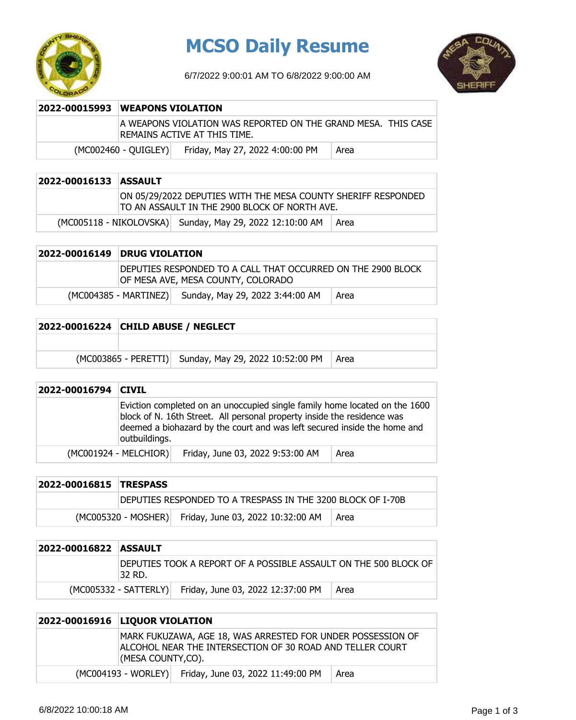

## **MCSO Daily Resume**

6/7/2022 9:00:01 AM TO 6/8/2022 9:00:00 AM



| 2022-00015993 WEAPONS VIOLATION                                                               |  |  |
|-----------------------------------------------------------------------------------------------|--|--|
| A WEAPONS VIOLATION WAS REPORTED ON THE GRAND MESA. THIS CASE<br>REMAINS ACTIVE AT THIS TIME. |  |  |
| Friday, May 27, 2022 4:00:00 PM<br>$(MCOO2460 - QUIGLEY)$<br>Area                             |  |  |

## **2022-00016133 ASSAULT**

ON 05/29/2022 DEPUTIES WITH THE MESA COUNTY SHERIFF RESPONDED TO AN ASSAULT IN THE 2900 BLOCK OF NORTH AVE.

 $(MCOO5118 - NIKOLOVSKA)$  Sunday, May 29, 2022 12:10:00 AM  $\vert$  Area

| 2022-00016149 DRUG VIOLATION                                                                        |      |  |
|-----------------------------------------------------------------------------------------------------|------|--|
| IDEPUTIES RESPONDED TO A CALL THAT OCCURRED ON THE 2900 BLOCK<br>OF MESA AVE, MESA COUNTY, COLORADO |      |  |
| Sunday, May 29, 2022 3:44:00 AM<br>(MC004385 - MARTINEZ)                                            | Area |  |

| 2022-00016224 CHILD ABUSE / NEGLECT |                                                              |  |
|-------------------------------------|--------------------------------------------------------------|--|
|                                     |                                                              |  |
|                                     | (MC003865 - PERETTI) Sunday, May 29, 2022 10:52:00 PM   Area |  |

| 2022-00016794 | <b>CIVIL</b>          |                                                                                                                                                                                                                                   |      |
|---------------|-----------------------|-----------------------------------------------------------------------------------------------------------------------------------------------------------------------------------------------------------------------------------|------|
|               | outbuildings.         | Eviction completed on an unoccupied single family home located on the 1600<br>block of N. 16th Street. All personal property inside the residence was<br>deemed a biohazard by the court and was left secured inside the home and |      |
|               | (MC001924 - MELCHIOR) | Friday, June 03, 2022 9:53:00 AM                                                                                                                                                                                                  | Area |

| 2022-00016815 TRESPASS |                                                             |                                                       |      |
|------------------------|-------------------------------------------------------------|-------------------------------------------------------|------|
|                        | DEPUTIES RESPONDED TO A TRESPASS IN THE 3200 BLOCK OF I-70B |                                                       |      |
|                        |                                                             | (MC005320 - MOSHER) Friday, June 03, 2022 10:32:00 AM | Area |

| 2022-00016822 ASSAULT |         |                                                                   |      |
|-----------------------|---------|-------------------------------------------------------------------|------|
|                       | 132 RD. | IDEPUTIES TOOK A REPORT OF A POSSIBLE ASSAULT ON THE 500 BLOCK OF |      |
|                       |         | (MC005332 - SATTERLY) Friday, June 03, 2022 12:37:00 PM           | Area |

## **2022-00016916 LIQUOR VIOLATION** MARK FUKUZAWA, AGE 18, WAS ARRESTED FOR UNDER POSSESSION OF ALCOHOL NEAR THE INTERSECTION OF 30 ROAD AND TELLER COURT (MESA COUNTY,CO).  $(MCOO4193 - WORLEY)$  Friday, June 03, 2022 11:49:00 PM  $\parallel$  Area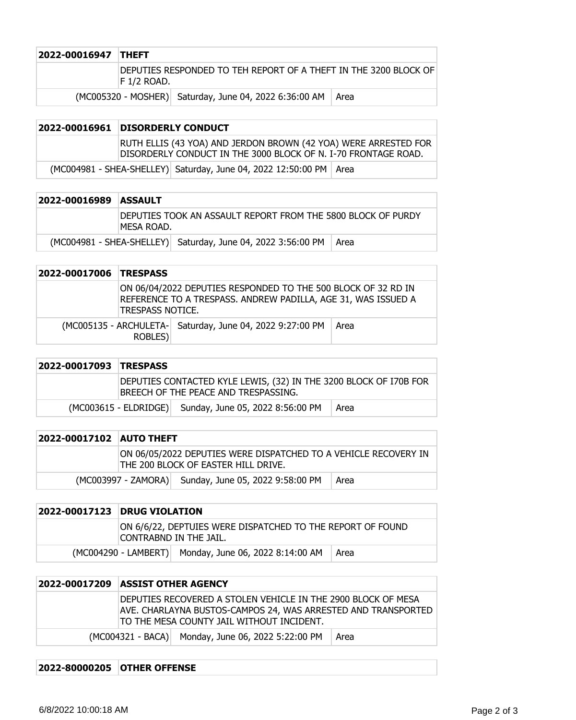| 2022-00016947 THEFT |              |                                                                  |  |
|---------------------|--------------|------------------------------------------------------------------|--|
|                     | IF 1/2 ROAD. | DEPUTIES RESPONDED TO TEH REPORT OF A THEFT IN THE 3200 BLOCK OF |  |
|                     |              | (MC005320 - MOSHER) Saturday, June 04, 2022 6:36:00 AM   Area    |  |

|  | 2022-00016961 DISORDERLY CONDUCT                                                                                                  |                                                                      |  |
|--|-----------------------------------------------------------------------------------------------------------------------------------|----------------------------------------------------------------------|--|
|  | RUTH ELLIS (43 YOA) AND JERDON BROWN (42 YOA) WERE ARRESTED FOR<br>DISORDERLY CONDUCT IN THE 3000 BLOCK OF N. I-70 FRONTAGE ROAD. |                                                                      |  |
|  |                                                                                                                                   | (MC004981 - SHEA-SHELLEY) Saturday, June 04, 2022 12:50:00 PM   Area |  |

| 2022-00016989 | <b>ASSAULT</b>                                                              |                                                              |      |
|---------------|-----------------------------------------------------------------------------|--------------------------------------------------------------|------|
|               | DEPUTIES TOOK AN ASSAULT REPORT FROM THE 5800 BLOCK OF PURDY<br>IMESA ROAD. |                                                              |      |
|               |                                                                             | (MC004981 - SHEA-SHELLEY) Saturday, June 04, 2022 3:56:00 PM | Area |

| 2022-00017006 TRESPASS |                  |                                                                                                                                |      |
|------------------------|------------------|--------------------------------------------------------------------------------------------------------------------------------|------|
|                        | TRESPASS NOTICE. | ON 06/04/2022 DEPUTIES RESPONDED TO THE 500 BLOCK OF 32 RD IN<br>REFERENCE TO A TRESPASS. ANDREW PADILLA, AGE 31, WAS ISSUED A |      |
|                        | ROBLES)          | (MC005135 - ARCHULETA- Saturday, June 04, 2022 9:27:00 PM                                                                      | Area |

| 2022-00017093 TRESPASS |                                                                                                           |                                                        |      |
|------------------------|-----------------------------------------------------------------------------------------------------------|--------------------------------------------------------|------|
|                        | DEPUTIES CONTACTED KYLE LEWIS, (32) IN THE 3200 BLOCK OF 170B FOR<br>BREECH OF THE PEACE AND TRESPASSING. |                                                        |      |
|                        |                                                                                                           | (MC003615 - ELDRIDGE) Sunday, June 05, 2022 8:56:00 PM | Area |

| 2022-00017102 AUTO THEFT |                                                                                                        |                                                      |      |
|--------------------------|--------------------------------------------------------------------------------------------------------|------------------------------------------------------|------|
|                          | ON 06/05/2022 DEPUTIES WERE DISPATCHED TO A VEHICLE RECOVERY IN<br>THE 200 BLOCK OF EASTER HILL DRIVE. |                                                      |      |
|                          |                                                                                                        | (MC003997 - ZAMORA) Sunday, June 05, 2022 9:58:00 PM | Area |

| 2022-00017123 DRUG VIOLATION                                                         |                                                       |      |
|--------------------------------------------------------------------------------------|-------------------------------------------------------|------|
| ON 6/6/22, DEPTUIES WERE DISPATCHED TO THE REPORT OF FOUND<br>CONTRABND IN THE JAIL. |                                                       |      |
|                                                                                      | (MC004290 - LAMBERT) Monday, June 06, 2022 8:14:00 AM | Area |

| 2022-00017209 ASSIST OTHER AGENCY                                                                                                                                           |
|-----------------------------------------------------------------------------------------------------------------------------------------------------------------------------|
| DEPUTIES RECOVERED A STOLEN VEHICLE IN THE 2900 BLOCK OF MESA<br>AVE. CHARLAYNA BUSTOS-CAMPOS 24, WAS ARRESTED AND TRANSPORTED<br>TO THE MESA COUNTY JAIL WITHOUT INCIDENT. |
| (MC004321 - BACA) Monday, June 06, 2022 5:22:00 PM<br>Area                                                                                                                  |

## **2022-80000205 OTHER OFFENSE**